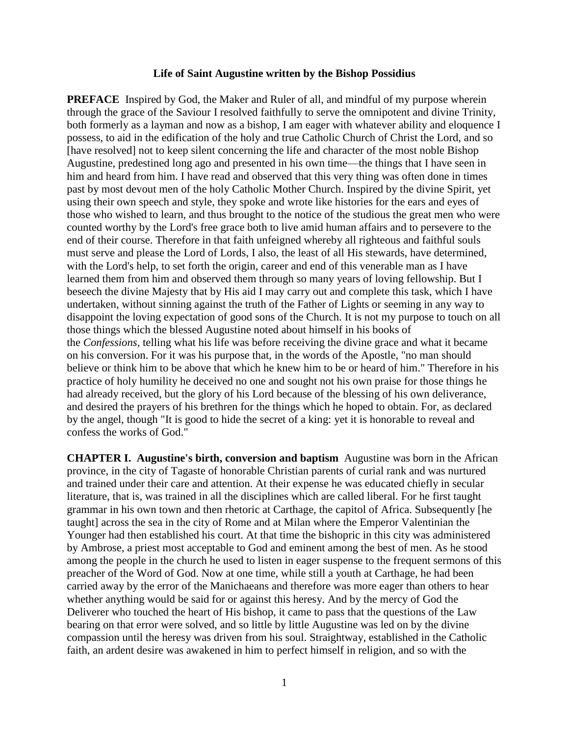## **Life of Saint Augustine written by the Bishop Possidius**

**PREFACE** Inspired by God, the Maker and Ruler of all, and mindful of my purpose wherein through the grace of the Saviour I resolved faithfully to serve the omnipotent and divine Trinity, both formerly as a layman and now as a bishop, I am eager with whatever ability and eloquence I possess, to aid in the edification of the holy and true Catholic Church of Christ the Lord, and so [have resolved] not to keep silent concerning the life and character of the most noble Bishop Augustine, predestined long ago and presented in his own time—the things that I have seen in him and heard from him. I have read and observed that this very thing was often done in times past by most devout men of the holy Catholic Mother Church. Inspired by the divine Spirit, yet using their own speech and style, they spoke and wrote like histories for the ears and eyes of those who wished to learn, and thus brought to the notice of the studious the great men who were counted worthy by the Lord's free grace both to live amid human affairs and to persevere to the end of their course. Therefore in that faith unfeigned whereby all righteous and faithful souls must serve and please the Lord of Lords, I also, the least of all His stewards, have determined, with the Lord's help, to set forth the origin, career and end of this venerable man as I have learned them from him and observed them through so many years of loving fellowship. But I beseech the divine Majesty that by His aid I may carry out and complete this task, which I have undertaken, without sinning against the truth of the Father of Lights or seeming in any way to disappoint the loving expectation of good sons of the Church. It is not my purpose to touch on all those things which the blessed Augustine noted about himself in his books of the *Confessions,* telling what his life was before receiving the divine grace and what it became on his conversion. For it was his purpose that, in the words of the Apostle, "no man should believe or think him to be above that which he knew him to be or heard of him." Therefore in his practice of holy humility he deceived no one and sought not his own praise for those things he had already received, but the glory of his Lord because of the blessing of his own deliverance, and desired the prayers of his brethren for the things which he hoped to obtain. For, as declared by the angel, though "It is good to hide the secret of a king: yet it is honorable to reveal and confess the works of God."

**CHAPTER I. Augustine's birth, conversion and baptism** Augustine was born in the African province, in the city of Tagaste of honorable Christian parents of curial rank and was nurtured and trained under their care and attention. At their expense he was educated chiefly in secular literature, that is, was trained in all the disciplines which are called liberal. For he first taught grammar in his own town and then rhetoric at Carthage, the capitol of Africa. Subsequently [he taught] across the sea in the city of Rome and at Milan where the Emperor Valentinian the Younger had then established his court. At that time the bishopric in this city was administered by Ambrose, a priest most acceptable to God and eminent among the best of men. As he stood among the people in the church he used to listen in eager suspense to the frequent sermons of this preacher of the Word of God. Now at one time, while still a youth at Carthage, he had been carried away by the error of the Manichaeans and therefore was more eager than others to hear whether anything would be said for or against this heresy. And by the mercy of God the Deliverer who touched the heart of His bishop, it came to pass that the questions of the Law bearing on that error were solved, and so little by little Augustine was led on by the divine compassion until the heresy was driven from his soul. Straightway, established in the Catholic faith, an ardent desire was awakened in him to perfect himself in religion, and so with the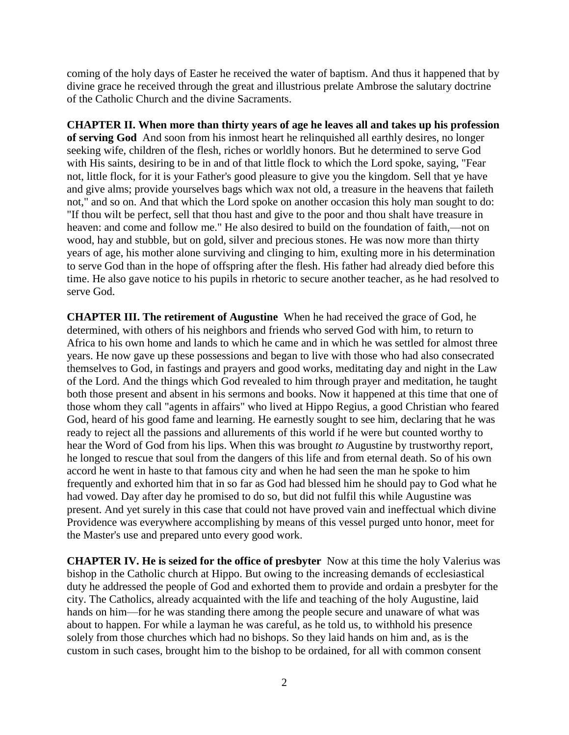coming of the holy days of Easter he received the water of baptism. And thus it happened that by divine grace he received through the great and illustrious prelate Ambrose the salutary doctrine of the Catholic Church and the divine Sacraments.

**CHAPTER II. When more than thirty years of age he leaves all and takes up his profession of serving God** And soon from his inmost heart he relinquished all earthly desires, no longer seeking wife, children of the flesh, riches or worldly honors. But he determined to serve God with His saints, desiring to be in and of that little flock to which the Lord spoke, saying, "Fear not, little flock, for it is your Father's good pleasure to give you the kingdom. Sell that ye have and give alms; provide yourselves bags which wax not old, a treasure in the heavens that faileth not," and so on. And that which the Lord spoke on another occasion this holy man sought to do: "If thou wilt be perfect, sell that thou hast and give to the poor and thou shalt have treasure in heaven: and come and follow me." He also desired to build on the foundation of faith,—not on wood, hay and stubble, but on gold, silver and precious stones. He was now more than thirty years of age, his mother alone surviving and clinging to him, exulting more in his determination to serve God than in the hope of offspring after the flesh. His father had already died before this time. He also gave notice to his pupils in rhetoric to secure another teacher, as he had resolved to serve God.

**CHAPTER III. The retirement of Augustine** When he had received the grace of God, he determined, with others of his neighbors and friends who served God with him, to return to Africa to his own home and lands to which he came and in which he was settled for almost three years. He now gave up these possessions and began to live with those who had also consecrated themselves to God, in fastings and prayers and good works, meditating day and night in the Law of the Lord. And the things which God revealed to him through prayer and meditation, he taught both those present and absent in his sermons and books. Now it happened at this time that one of those whom they call "agents in affairs" who lived at Hippo Regius, a good Christian who feared God, heard of his good fame and learning. He earnestly sought to see him, declaring that he was ready to reject all the passions and allurements of this world if he were but counted worthy to hear the Word of God from his lips. When this was brought *to* Augustine by trustworthy report, he longed to rescue that soul from the dangers of this life and from eternal death. So of his own accord he went in haste to that famous city and when he had seen the man he spoke to him frequently and exhorted him that in so far as God had blessed him he should pay to God what he had vowed. Day after day he promised to do so, but did not fulfil this while Augustine was present. And yet surely in this case that could not have proved vain and ineffectual which divine Providence was everywhere accomplishing by means of this vessel purged unto honor, meet for the Master's use and prepared unto every good work.

**CHAPTER IV. He is seized for the office of presbyter** Now at this time the holy Valerius was bishop in the Catholic church at Hippo. But owing to the increasing demands of ecclesiastical duty he addressed the people of God and exhorted them to provide and ordain a presbyter for the city. The Catholics, already acquainted with the life and teaching of the holy Augustine, laid hands on him—for he was standing there among the people secure and unaware of what was about to happen. For while a layman he was careful, as he told us, to withhold his presence solely from those churches which had no bishops. So they laid hands on him and, as is the custom in such cases, brought him to the bishop to be ordained, for all with common consent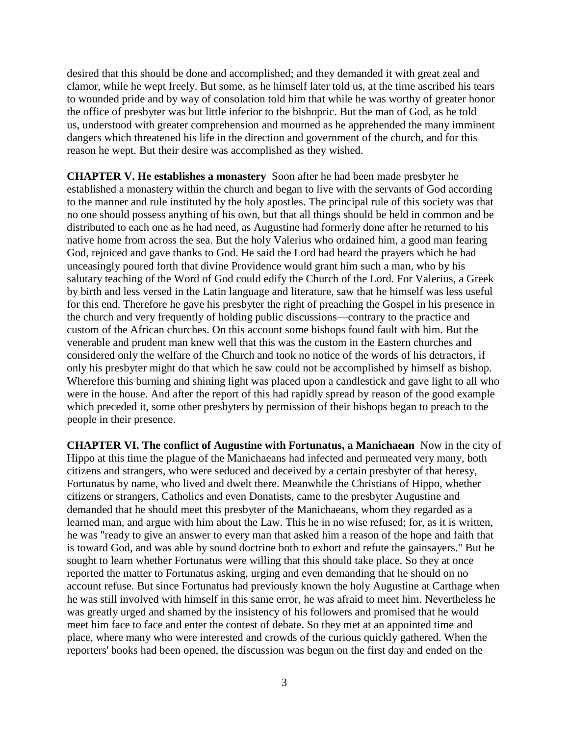desired that this should be done and accomplished; and they demanded it with great zeal and clamor, while he wept freely. But some, as he himself later told us, at the time ascribed his tears to wounded pride and by way of consolation told him that while he was worthy of greater honor the office of presbyter was but little inferior to the bishopric. But the man of God, as he told us, understood with greater comprehension and mourned as he apprehended the many imminent dangers which threatened his life in the direction and government of the church, and for this reason he wept. But their desire was accomplished as they wished.

**CHAPTER V. He establishes a monastery** Soon after he had been made presbyter he established a monastery within the church and began to live with the servants of God according to the manner and rule instituted by the holy apostles. The principal rule of this society was that no one should possess anything of his own, but that all things should be held in common and be distributed to each one as he had need, as Augustine had formerly done after he returned to his native home from across the sea. But the holy Valerius who ordained him, a good man fearing God, rejoiced and gave thanks to God. He said the Lord had heard the prayers which he had unceasingly poured forth that divine Providence would grant him such a man, who by his salutary teaching of the Word of God could edify the Church of the Lord. For Valerius, a Greek by birth and less versed in the Latin language and literature, saw that he himself was less useful for this end. Therefore he gave his presbyter the right of preaching the Gospel in his presence in the church and very frequently of holding public discussions—contrary to the practice and custom of the African churches. On this account some bishops found fault with him. But the venerable and prudent man knew well that this was the custom in the Eastern churches and considered only the welfare of the Church and took no notice of the words of his detractors, if only his presbyter might do that which he saw could not be accomplished by himself as bishop. Wherefore this burning and shining light was placed upon a candlestick and gave light to all who were in the house. And after the report of this had rapidly spread by reason of the good example which preceded it, some other presbyters by permission of their bishops began to preach to the people in their presence.

**CHAPTER VI. The conflict of Augustine with Fortunatus, a Manichaean** Now in the city of Hippo at this time the plague of the Manichaeans had infected and permeated very many, both citizens and strangers, who were seduced and deceived by a certain presbyter of that heresy, Fortunatus by name, who lived and dwelt there. Meanwhile the Christians of Hippo, whether citizens or strangers, Catholics and even Donatists, came to the presbyter Augustine and demanded that he should meet this presbyter of the Manichaeans, whom they regarded as a learned man, and argue with him about the Law. This he in no wise refused; for, as it is written, he was "ready to give an answer to every man that asked him a reason of the hope and faith that is toward God, and was able by sound doctrine both to exhort and refute the gainsayers." But he sought to learn whether Fortunatus were willing that this should take place. So they at once reported the matter to Fortunatus asking, urging and even demanding that he should on no account refuse. But since Fortunatus had previously known the holy Augustine at Carthage when he was still involved with himself in this same error, he was afraid to meet him. Nevertheless he was greatly urged and shamed by the insistency of his followers and promised that he would meet him face to face and enter the contest of debate. So they met at an appointed time and place, where many who were interested and crowds of the curious quickly gathered. When the reporters' books had been opened, the discussion was begun on the first day and ended on the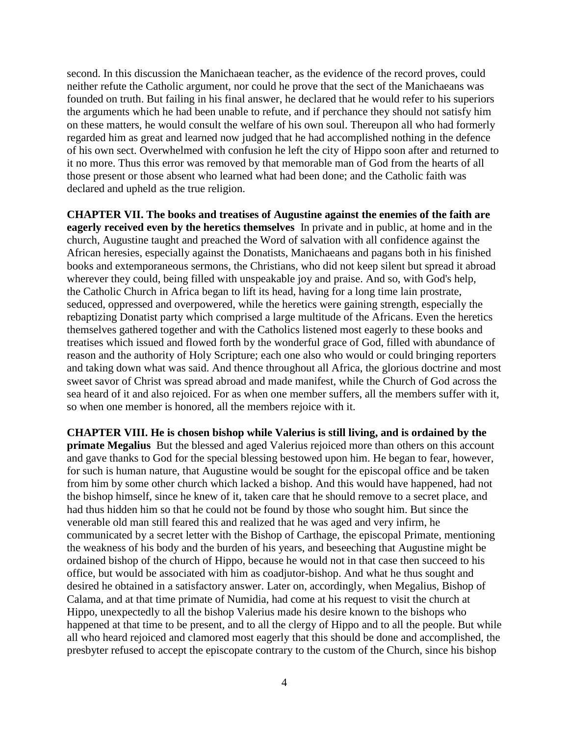second. In this discussion the Manichaean teacher, as the evidence of the record proves, could neither refute the Catholic argument, nor could he prove that the sect of the Manichaeans was founded on truth. But failing in his final answer, he declared that he would refer to his superiors the arguments which he had been unable to refute, and if perchance they should not satisfy him on these matters, he would consult the welfare of his own soul. Thereupon all who had formerly regarded him as great and learned now judged that he had accomplished nothing in the defence of his own sect. Overwhelmed with confusion he left the city of Hippo soon after and returned to it no more. Thus this error was removed by that memorable man of God from the hearts of all those present or those absent who learned what had been done; and the Catholic faith was declared and upheld as the true religion.

**CHAPTER VII. The books and treatises of Augustine against the enemies of the faith are eagerly received even by the heretics themselves** In private and in public, at home and in the church, Augustine taught and preached the Word of salvation with all confidence against the African heresies, especially against the Donatists, Manichaeans and pagans both in his finished books and extemporaneous sermons, the Christians, who did not keep silent but spread it abroad wherever they could, being filled with unspeakable joy and praise. And so, with God's help, the Catholic Church in Africa began to lift its head, having for a long time lain prostrate, seduced, oppressed and overpowered, while the heretics were gaining strength, especially the rebaptizing Donatist party which comprised a large multitude of the Africans. Even the heretics themselves gathered together and with the Catholics listened most eagerly to these books and treatises which issued and flowed forth by the wonderful grace of God, filled with abundance of reason and the authority of Holy Scripture; each one also who would or could bringing reporters and taking down what was said. And thence throughout all Africa, the glorious doctrine and most sweet savor of Christ was spread abroad and made manifest, while the Church of God across the sea heard of it and also rejoiced. For as when one member suffers, all the members suffer with it, so when one member is honored, all the members rejoice with it.

**CHAPTER VIII. He is chosen bishop while Valerius is still living, and is ordained by the primate Megalius** But the blessed and aged Valerius rejoiced more than others on this account and gave thanks to God for the special blessing bestowed upon him. He began to fear, however, for such is human nature, that Augustine would be sought for the episcopal office and be taken from him by some other church which lacked a bishop. And this would have happened, had not the bishop himself, since he knew of it, taken care that he should remove to a secret place, and had thus hidden him so that he could not be found by those who sought him. But since the venerable old man still feared this and realized that he was aged and very infirm, he communicated by a secret letter with the Bishop of Carthage, the episcopal Primate, mentioning the weakness of his body and the burden of his years, and beseeching that Augustine might be ordained bishop of the church of Hippo, because he would not in that case then succeed to his office, but would be associated with him as coadjutor-bishop. And what he thus sought and desired he obtained in a satisfactory answer. Later on, accordingly, when Megalius, Bishop of Calama, and at that time primate of Numidia, had come at his request to visit the church at Hippo, unexpectedly to all the bishop Valerius made his desire known to the bishops who happened at that time to be present, and to all the clergy of Hippo and to all the people. But while all who heard rejoiced and clamored most eagerly that this should be done and accomplished, the presbyter refused to accept the episcopate contrary to the custom of the Church, since his bishop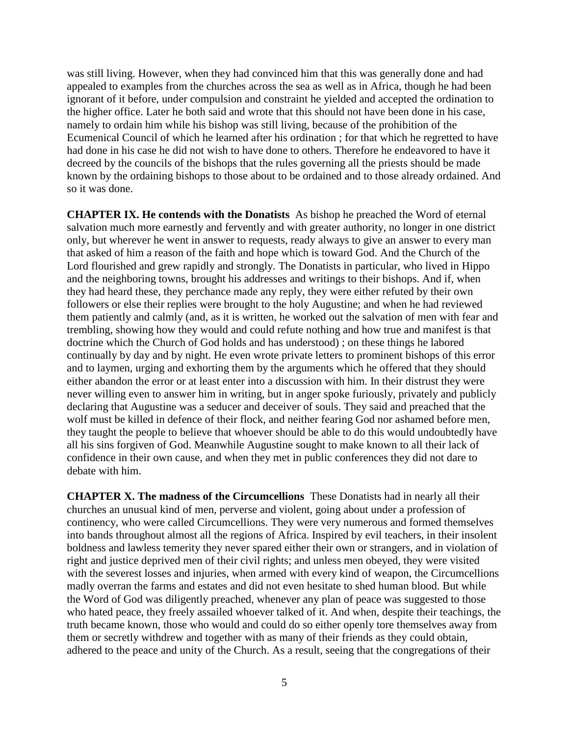was still living. However, when they had convinced him that this was generally done and had appealed to examples from the churches across the sea as well as in Africa, though he had been ignorant of it before, under compulsion and constraint he yielded and accepted the ordination to the higher office. Later he both said and wrote that this should not have been done in his case, namely to ordain him while his bishop was still living, because of the prohibition of the Ecumenical Council of which he learned after his ordination ; for that which he regretted to have had done in his case he did not wish to have done to others. Therefore he endeavored to have it decreed by the councils of the bishops that the rules governing all the priests should be made known by the ordaining bishops to those about to be ordained and to those already ordained. And so it was done.

**CHAPTER IX. He contends with the Donatists** As bishop he preached the Word of eternal salvation much more earnestly and fervently and with greater authority, no longer in one district only, but wherever he went in answer to requests, ready always to give an answer to every man that asked of him a reason of the faith and hope which is toward God. And the Church of the Lord flourished and grew rapidly and strongly. The Donatists in particular, who lived in Hippo and the neighboring towns, brought his addresses and writings to their bishops. And if, when they had heard these, they perchance made any reply, they were either refuted by their own followers or else their replies were brought to the holy Augustine; and when he had reviewed them patiently and calmly (and, as it is written, he worked out the salvation of men with fear and trembling, showing how they would and could refute nothing and how true and manifest is that doctrine which the Church of God holds and has understood) ; on these things he labored continually by day and by night. He even wrote private letters to prominent bishops of this error and to laymen, urging and exhorting them by the arguments which he offered that they should either abandon the error or at least enter into a discussion with him. In their distrust they were never willing even to answer him in writing, but in anger spoke furiously, privately and publicly declaring that Augustine was a seducer and deceiver of souls. They said and preached that the wolf must be killed in defence of their flock, and neither fearing God nor ashamed before men, they taught the people to believe that whoever should be able to do this would undoubtedly have all his sins forgiven of God. Meanwhile Augustine sought to make known to all their lack of confidence in their own cause, and when they met in public conferences they did not dare to debate with him.

**CHAPTER X. The madness of the Circumcellions** These Donatists had in nearly all their churches an unusual kind of men, perverse and violent, going about under a profession of continency, who were called Circumcellions. They were very numerous and formed themselves into bands throughout almost all the regions of Africa. Inspired by evil teachers, in their insolent boldness and lawless temerity they never spared either their own or strangers, and in violation of right and justice deprived men of their civil rights; and unless men obeyed, they were visited with the severest losses and injuries, when armed with every kind of weapon, the Circumcellions madly overran the farms and estates and did not even hesitate to shed human blood. But while the Word of God was diligently preached, whenever any plan of peace was suggested to those who hated peace, they freely assailed whoever talked of it. And when, despite their teachings, the truth became known, those who would and could do so either openly tore themselves away from them or secretly withdrew and together with as many of their friends as they could obtain, adhered to the peace and unity of the Church. As a result, seeing that the congregations of their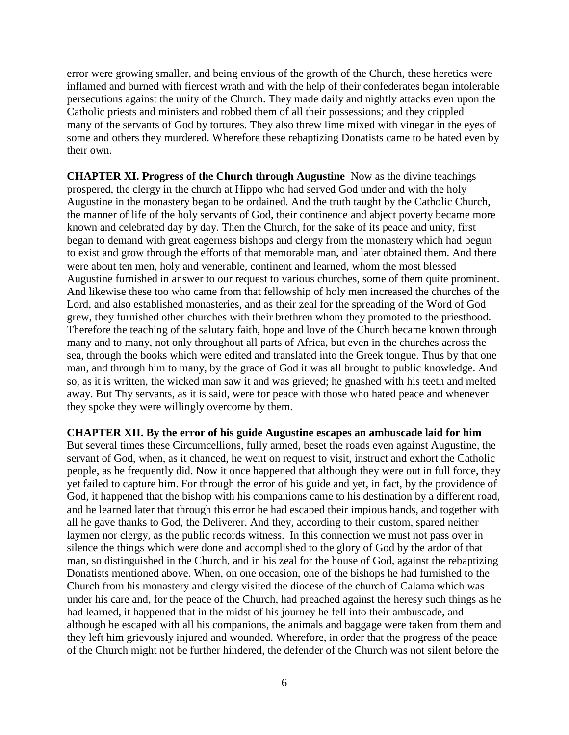error were growing smaller, and being envious of the growth of the Church, these heretics were inflamed and burned with fiercest wrath and with the help of their confederates began intolerable persecutions against the unity of the Church. They made daily and nightly attacks even upon the Catholic priests and ministers and robbed them of all their possessions; and they crippled many of the servants of God by tortures. They also threw lime mixed with vinegar in the eyes of some and others they murdered. Wherefore these rebaptizing Donatists came to be hated even by their own.

**CHAPTER XI. Progress of the Church through Augustine** Now as the divine teachings prospered, the clergy in the church at Hippo who had served God under and with the holy Augustine in the monastery began to be ordained. And the truth taught by the Catholic Church, the manner of life of the holy servants of God, their continence and abject poverty became more known and celebrated day by day. Then the Church, for the sake of its peace and unity, first began to demand with great eagerness bishops and clergy from the monastery which had begun to exist and grow through the efforts of that memorable man, and later obtained them. And there were about ten men, holy and venerable, continent and learned, whom the most blessed Augustine furnished in answer to our request to various churches, some of them quite prominent. And likewise these too who came from that fellowship of holy men increased the churches of the Lord, and also established monasteries, and as their zeal for the spreading of the Word of God grew, they furnished other churches with their brethren whom they promoted to the priesthood. Therefore the teaching of the salutary faith, hope and love of the Church became known through many and to many, not only throughout all parts of Africa, but even in the churches across the sea, through the books which were edited and translated into the Greek tongue. Thus by that one man, and through him to many, by the grace of God it was all brought to public knowledge. And so, as it is written, the wicked man saw it and was grieved; he gnashed with his teeth and melted away. But Thy servants, as it is said, were for peace with those who hated peace and whenever they spoke they were willingly overcome by them.

**CHAPTER XII. By the error of his guide Augustine escapes an ambuscade laid for him**  But several times these Circumcellions, fully armed, beset the roads even against Augustine, the servant of God, when, as it chanced, he went on request to visit, instruct and exhort the Catholic people, as he frequently did. Now it once happened that although they were out in full force, they yet failed to capture him. For through the error of his guide and yet, in fact, by the providence of God, it happened that the bishop with his companions came to his destination by a different road, and he learned later that through this error he had escaped their impious hands, and together with all he gave thanks to God, the Deliverer. And they, according to their custom, spared neither laymen nor clergy, as the public records witness. In this connection we must not pass over in silence the things which were done and accomplished to the glory of God by the ardor of that man, so distinguished in the Church, and in his zeal for the house of God, against the rebaptizing Donatists mentioned above. When, on one occasion, one of the bishops he had furnished to the Church from his monastery and clergy visited the diocese of the church of Calama which was under his care and, for the peace of the Church, had preached against the heresy such things as he had learned, it happened that in the midst of his journey he fell into their ambuscade, and although he escaped with all his companions, the animals and baggage were taken from them and they left him grievously injured and wounded. Wherefore, in order that the progress of the peace of the Church might not be further hindered, the defender of the Church was not silent before the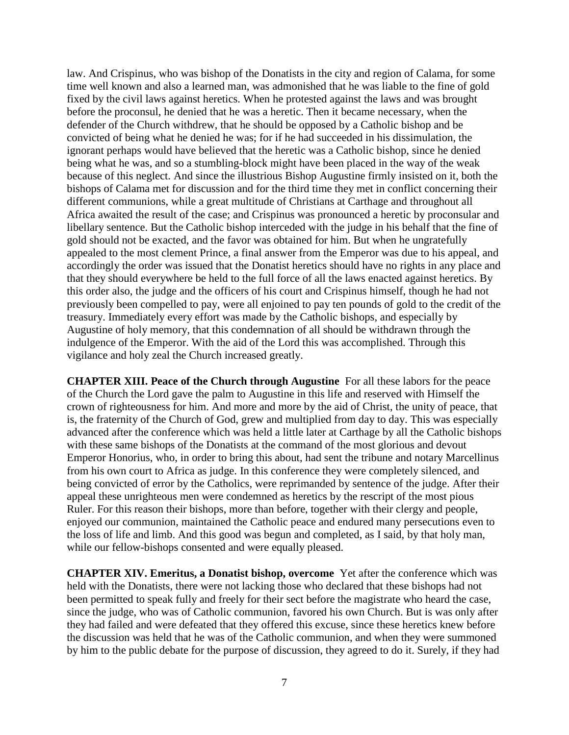law. And Crispinus, who was bishop of the Donatists in the city and region of Calama, for some time well known and also a learned man, was admonished that he was liable to the fine of gold fixed by the civil laws against heretics. When he protested against the laws and was brought before the proconsul, he denied that he was a heretic. Then it became necessary, when the defender of the Church withdrew, that he should be opposed by a Catholic bishop and be convicted of being what he denied he was; for if he had succeeded in his dissimulation, the ignorant perhaps would have believed that the heretic was a Catholic bishop, since he denied being what he was, and so a stumbling-block might have been placed in the way of the weak because of this neglect. And since the illustrious Bishop Augustine firmly insisted on it, both the bishops of Calama met for discussion and for the third time they met in conflict concerning their different communions, while a great multitude of Christians at Carthage and throughout all Africa awaited the result of the case; and Crispinus was pronounced a heretic by proconsular and libellary sentence. But the Catholic bishop interceded with the judge in his behalf that the fine of gold should not be exacted, and the favor was obtained for him. But when he ungratefully appealed to the most clement Prince, a final answer from the Emperor was due to his appeal, and accordingly the order was issued that the Donatist heretics should have no rights in any place and that they should everywhere be held to the full force of all the laws enacted against heretics. By this order also, the judge and the officers of his court and Crispinus himself, though he had not previously been compelled to pay, were all enjoined to pay ten pounds of gold to the credit of the treasury. Immediately every effort was made by the Catholic bishops, and especially by Augustine of holy memory, that this condemnation of all should be withdrawn through the indulgence of the Emperor. With the aid of the Lord this was accomplished. Through this vigilance and holy zeal the Church increased greatly.

**CHAPTER XIII. Peace of the Church through Augustine** For all these labors for the peace of the Church the Lord gave the palm to Augustine in this life and reserved with Himself the crown of righteousness for him. And more and more by the aid of Christ, the unity of peace, that is, the fraternity of the Church of God, grew and multiplied from day to day. This was especially advanced after the conference which was held a little later at Carthage by all the Catholic bishops with these same bishops of the Donatists at the command of the most glorious and devout Emperor Honorius, who, in order to bring this about, had sent the tribune and notary Marcellinus from his own court to Africa as judge. In this conference they were completely silenced, and being convicted of error by the Catholics, were reprimanded by sentence of the judge. After their appeal these unrighteous men were condemned as heretics by the rescript of the most pious Ruler. For this reason their bishops, more than before, together with their clergy and people, enjoyed our communion, maintained the Catholic peace and endured many persecutions even to the loss of life and limb. And this good was begun and completed, as I said, by that holy man, while our fellow-bishops consented and were equally pleased.

**CHAPTER XIV. Emeritus, a Donatist bishop, overcome** Yet after the conference which was held with the Donatists, there were not lacking those who declared that these bishops had not been permitted to speak fully and freely for their sect before the magistrate who heard the case, since the judge, who was of Catholic communion, favored his own Church. But is was only after they had failed and were defeated that they offered this excuse, since these heretics knew before the discussion was held that he was of the Catholic communion, and when they were summoned by him to the public debate for the purpose of discussion, they agreed to do it. Surely, if they had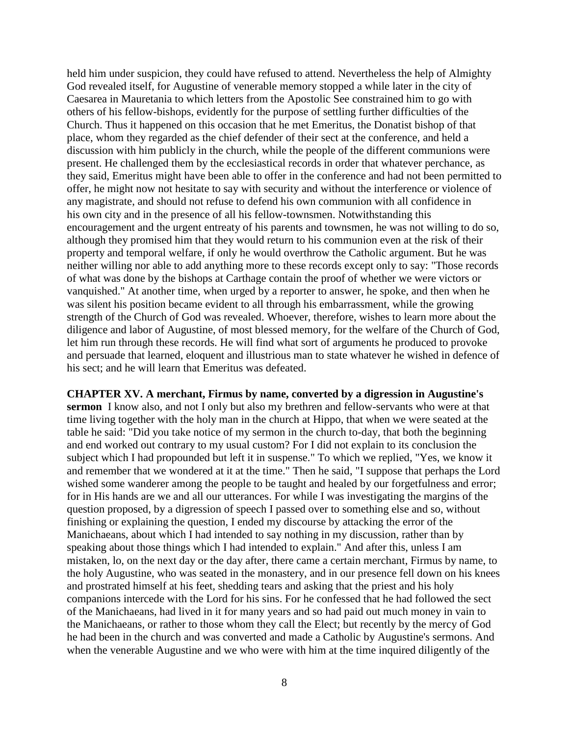held him under suspicion, they could have refused to attend. Nevertheless the help of Almighty God revealed itself, for Augustine of venerable memory stopped a while later in the city of Caesarea in Mauretania to which letters from the Apostolic See constrained him to go with others of his fellow-bishops, evidently for the purpose of settling further difficulties of the Church. Thus it happened on this occasion that he met Emeritus, the Donatist bishop of that place, whom they regarded as the chief defender of their sect at the conference, and held a discussion with him publicly in the church, while the people of the different communions were present. He challenged them by the ecclesiastical records in order that whatever perchance, as they said, Emeritus might have been able to offer in the conference and had not been permitted to offer, he might now not hesitate to say with security and without the interference or violence of any magistrate, and should not refuse to defend his own communion with all confidence in his own city and in the presence of all his fellow-townsmen. Notwithstanding this encouragement and the urgent entreaty of his parents and townsmen, he was not willing to do so, although they promised him that they would return to his communion even at the risk of their property and temporal welfare, if only he would overthrow the Catholic argument. But he was neither willing nor able to add anything more to these records except only to say: "Those records of what was done by the bishops at Carthage contain the proof of whether we were victors or vanquished." At another time, when urged by a reporter to answer, he spoke, and then when he was silent his position became evident to all through his embarrassment, while the growing strength of the Church of God was revealed. Whoever, therefore, wishes to learn more about the diligence and labor of Augustine, of most blessed memory, for the welfare of the Church of God, let him run through these records. He will find what sort of arguments he produced to provoke and persuade that learned, eloquent and illustrious man to state whatever he wished in defence of his sect; and he will learn that Emeritus was defeated.

## **CHAPTER XV. A merchant, Firmus by name, converted by a digression in Augustine's**

**sermon** I know also, and not I only but also my brethren and fellow-servants who were at that time living together with the holy man in the church at Hippo, that when we were seated at the table he said: "Did you take notice of my sermon in the church to-day, that both the beginning and end worked out contrary to my usual custom? For I did not explain to its conclusion the subject which I had propounded but left it in suspense." To which we replied, "Yes, we know it and remember that we wondered at it at the time." Then he said, "I suppose that perhaps the Lord wished some wanderer among the people to be taught and healed by our forgetfulness and error; for in His hands are we and all our utterances. For while I was investigating the margins of the question proposed, by a digression of speech I passed over to something else and so, without finishing or explaining the question, I ended my discourse by attacking the error of the Manichaeans, about which I had intended to say nothing in my discussion, rather than by speaking about those things which I had intended to explain." And after this, unless I am mistaken, lo, on the next day or the day after, there came a certain merchant, Firmus by name, to the holy Augustine, who was seated in the monastery, and in our presence fell down on his knees and prostrated himself at his feet, shedding tears and asking that the priest and his holy companions intercede with the Lord for his sins. For he confessed that he had followed the sect of the Manichaeans, had lived in it for many years and so had paid out much money in vain to the Manichaeans, or rather to those whom they call the Elect; but recently by the mercy of God he had been in the church and was converted and made a Catholic by Augustine's sermons. And when the venerable Augustine and we who were with him at the time inquired diligently of the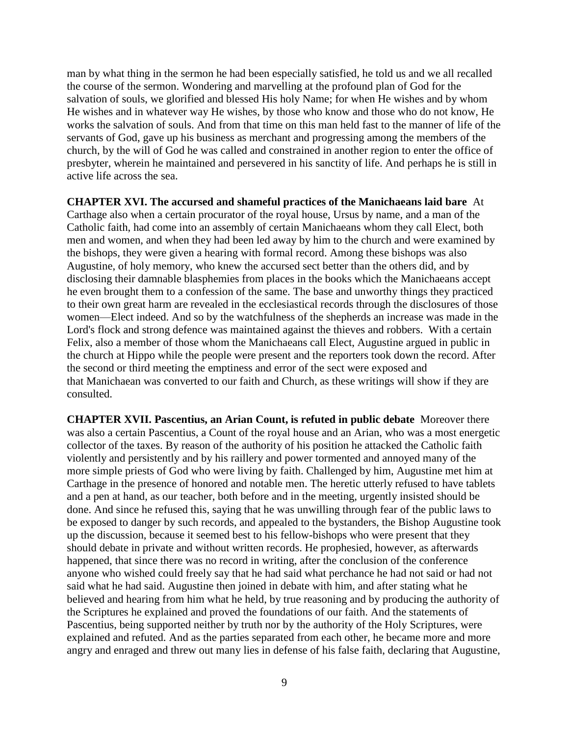man by what thing in the sermon he had been especially satisfied, he told us and we all recalled the course of the sermon. Wondering and marvelling at the profound plan of God for the salvation of souls, we glorified and blessed His holy Name; for when He wishes and by whom He wishes and in whatever way He wishes, by those who know and those who do not know, He works the salvation of souls. And from that time on this man held fast to the manner of life of the servants of God, gave up his business as merchant and progressing among the members of the church, by the will of God he was called and constrained in another region to enter the office of presbyter, wherein he maintained and persevered in his sanctity of life. And perhaps he is still in active life across the sea.

**CHAPTER XVI. The accursed and shameful practices of the Manichaeans laid bare** At Carthage also when a certain procurator of the royal house, Ursus by name, and a man of the Catholic faith, had come into an assembly of certain Manichaeans whom they call Elect, both men and women, and when they had been led away by him to the church and were examined by the bishops, they were given a hearing with formal record. Among these bishops was also Augustine, of holy memory, who knew the accursed sect better than the others did, and by disclosing their damnable blasphemies from places in the books which the Manichaeans accept he even brought them to a confession of the same. The base and unworthy things they practiced to their own great harm are revealed in the ecclesiastical records through the disclosures of those women—Elect indeed. And so by the watchfulness of the shepherds an increase was made in the Lord's flock and strong defence was maintained against the thieves and robbers. With a certain Felix, also a member of those whom the Manichaeans call Elect, Augustine argued in public in the church at Hippo while the people were present and the reporters took down the record. After the second or third meeting the emptiness and error of the sect were exposed and that Manichaean was converted to our faith and Church, as these writings will show if they are consulted.

**CHAPTER XVII. Pascentius, an Arian Count, is refuted in public debate** Moreover there was also a certain Pascentius, a Count of the royal house and an Arian, who was a most energetic collector of the taxes. By reason of the authority of his position he attacked the Catholic faith violently and persistently and by his raillery and power tormented and annoyed many of the more simple priests of God who were living by faith. Challenged by him, Augustine met him at Carthage in the presence of honored and notable men. The heretic utterly refused to have tablets and a pen at hand, as our teacher, both before and in the meeting, urgently insisted should be done. And since he refused this, saying that he was unwilling through fear of the public laws to be exposed to danger by such records, and appealed to the bystanders, the Bishop Augustine took up the discussion, because it seemed best to his fellow-bishops who were present that they should debate in private and without written records. He prophesied, however, as afterwards happened, that since there was no record in writing, after the conclusion of the conference anyone who wished could freely say that he had said what perchance he had not said or had not said what he had said. Augustine then joined in debate with him, and after stating what he believed and hearing from him what he held, by true reasoning and by producing the authority of the Scriptures he explained and proved the foundations of our faith. And the statements of Pascentius, being supported neither by truth nor by the authority of the Holy Scriptures, were explained and refuted. And as the parties separated from each other, he became more and more angry and enraged and threw out many lies in defense of his false faith, declaring that Augustine,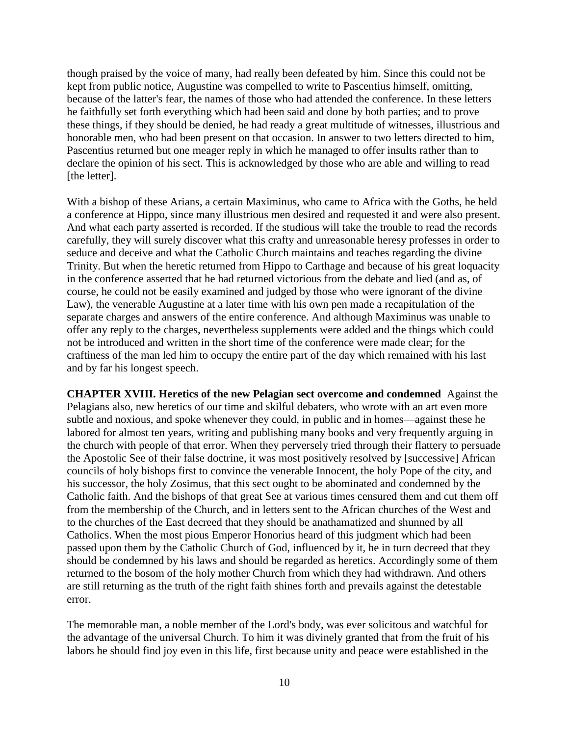though praised by the voice of many, had really been defeated by him. Since this could not be kept from public notice, Augustine was compelled to write to Pascentius himself, omitting, because of the latter's fear, the names of those who had attended the conference. In these letters he faithfully set forth everything which had been said and done by both parties; and to prove these things, if they should be denied, he had ready a great multitude of witnesses, illustrious and honorable men, who had been present on that occasion. In answer to two letters directed to him, Pascentius returned but one meager reply in which he managed to offer insults rather than to declare the opinion of his sect. This is acknowledged by those who are able and willing to read [the letter].

With a bishop of these Arians, a certain Maximinus, who came to Africa with the Goths, he held a conference at Hippo, since many illustrious men desired and requested it and were also present. And what each party asserted is recorded. If the studious will take the trouble to read the records carefully, they will surely discover what this crafty and unreasonable heresy professes in order to seduce and deceive and what the Catholic Church maintains and teaches regarding the divine Trinity. But when the heretic returned from Hippo to Carthage and because of his great loquacity in the conference asserted that he had returned victorious from the debate and lied (and as, of course, he could not be easily examined and judged by those who were ignorant of the divine Law), the venerable Augustine at a later time with his own pen made a recapitulation of the separate charges and answers of the entire conference. And although Maximinus was unable to offer any reply to the charges, nevertheless supplements were added and the things which could not be introduced and written in the short time of the conference were made clear; for the craftiness of the man led him to occupy the entire part of the day which remained with his last and by far his longest speech.

**CHAPTER XVIII. Heretics of the new Pelagian sect overcome and condemned** Against the Pelagians also, new heretics of our time and skilful debaters, who wrote with an art even more subtle and noxious, and spoke whenever they could, in public and in homes—against these he labored for almost ten years, writing and publishing many books and very frequently arguing in the church with people of that error. When they perversely tried through their flattery to persuade the Apostolic See of their false doctrine, it was most positively resolved by [successive] African councils of holy bishops first to convince the venerable Innocent, the holy Pope of the city, and his successor, the holy Zosimus, that this sect ought to be abominated and condemned by the Catholic faith. And the bishops of that great See at various times censured them and cut them off from the membership of the Church, and in letters sent to the African churches of the West and to the churches of the East decreed that they should be anathamatized and shunned by all Catholics. When the most pious Emperor Honorius heard of this judgment which had been passed upon them by the Catholic Church of God, influenced by it, he in turn decreed that they should be condemned by his laws and should be regarded as heretics. Accordingly some of them returned to the bosom of the holy mother Church from which they had withdrawn. And others are still returning as the truth of the right faith shines forth and prevails against the detestable error.

The memorable man, a noble member of the Lord's body, was ever solicitous and watchful for the advantage of the universal Church. To him it was divinely granted that from the fruit of his labors he should find joy even in this life, first because unity and peace were established in the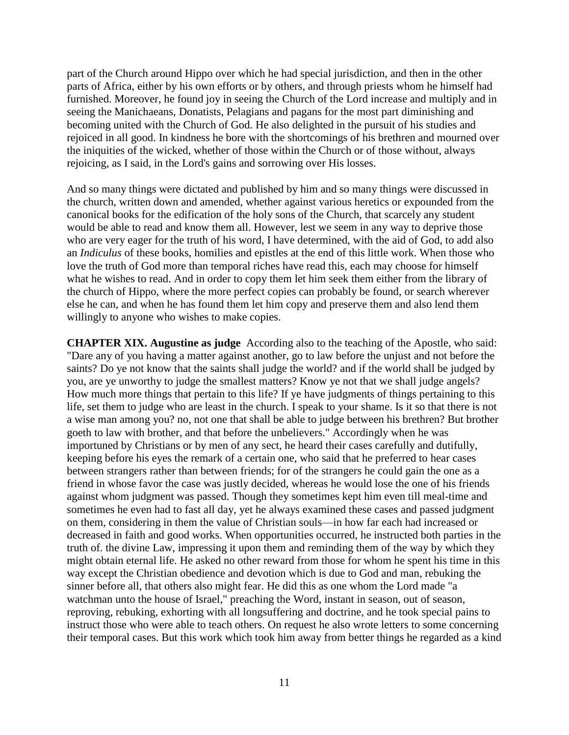part of the Church around Hippo over which he had special jurisdiction, and then in the other parts of Africa, either by his own efforts or by others, and through priests whom he himself had furnished. Moreover, he found joy in seeing the Church of the Lord increase and multiply and in seeing the Manichaeans, Donatists, Pelagians and pagans for the most part diminishing and becoming united with the Church of God. He also delighted in the pursuit of his studies and rejoiced in all good. In kindness he bore with the shortcomings of his brethren and mourned over the iniquities of the wicked, whether of those within the Church or of those without, always rejoicing, as I said, in the Lord's gains and sorrowing over His losses.

And so many things were dictated and published by him and so many things were discussed in the church, written down and amended, whether against various heretics or expounded from the canonical books for the edification of the holy sons of the Church, that scarcely any student would be able to read and know them all. However, lest we seem in any way to deprive those who are very eager for the truth of his word, I have determined, with the aid of God, to add also an *Indiculus* of these books, homilies and epistles at the end of this little work. When those who love the truth of God more than temporal riches have read this, each may choose for himself what he wishes to read. And in order to copy them let him seek them either from the library of the church of Hippo, where the more perfect copies can probably be found, or search wherever else he can, and when he has found them let him copy and preserve them and also lend them willingly to anyone who wishes to make copies.

**CHAPTER XIX. Augustine as judge** According also to the teaching of the Apostle, who said: "Dare any of you having a matter against another, go to law before the unjust and not before the saints? Do ye not know that the saints shall judge the world? and if the world shall be judged by you, are ye unworthy to judge the smallest matters? Know ye not that we shall judge angels? How much more things that pertain to this life? If ye have judgments of things pertaining to this life, set them to judge who are least in the church. I speak to your shame. Is it so that there is not a wise man among you? no, not one that shall be able to judge between his brethren? But brother goeth to law with brother, and that before the unbelievers." Accordingly when he was importuned by Christians or by men of any sect, he heard their cases carefully and dutifully, keeping before his eyes the remark of a certain one, who said that he preferred to hear cases between strangers rather than between friends; for of the strangers he could gain the one as a friend in whose favor the case was justly decided, whereas he would lose the one of his friends against whom judgment was passed. Though they sometimes kept him even till meal-time and sometimes he even had to fast all day, yet he always examined these cases and passed judgment on them, considering in them the value of Christian souls—in how far each had increased or decreased in faith and good works. When opportunities occurred, he instructed both parties in the truth of. the divine Law, impressing it upon them and reminding them of the way by which they might obtain eternal life. He asked no other reward from those for whom he spent his time in this way except the Christian obedience and devotion which is due to God and man, rebuking the sinner before all, that others also might fear. He did this as one whom the Lord made "a watchman unto the house of Israel," preaching the Word, instant in season, out of season, reproving, rebuking, exhorting with all longsuffering and doctrine, and he took special pains to instruct those who were able to teach others. On request he also wrote letters to some concerning their temporal cases. But this work which took him away from better things he regarded as a kind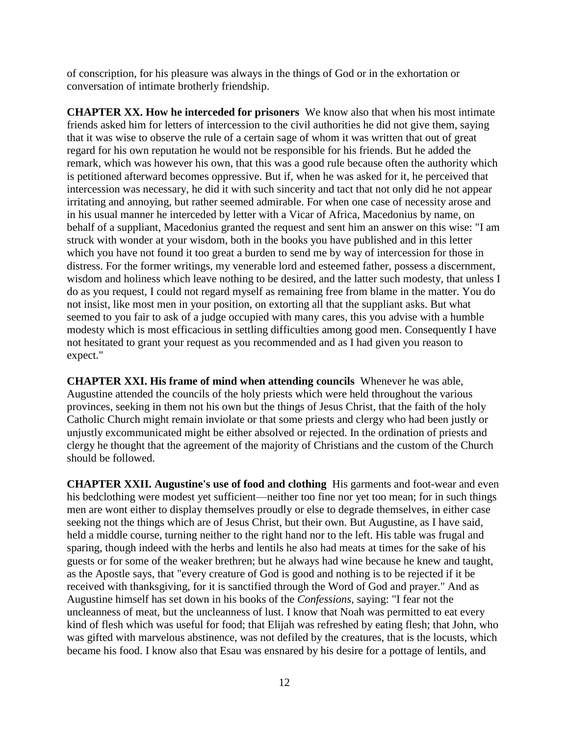of conscription, for his pleasure was always in the things of God or in the exhortation or conversation of intimate brotherly friendship.

**CHAPTER XX. How he interceded for prisoners** We know also that when his most intimate friends asked him for letters of intercession to the civil authorities he did not give them, saying that it was wise to observe the rule of a certain sage of whom it was written that out of great regard for his own reputation he would not be responsible for his friends. But he added the remark, which was however his own, that this was a good rule because often the authority which is petitioned afterward becomes oppressive. But if, when he was asked for it, he perceived that intercession was necessary, he did it with such sincerity and tact that not only did he not appear irritating and annoying, but rather seemed admirable. For when one case of necessity arose and in his usual manner he interceded by letter with a Vicar of Africa, Macedonius by name, on behalf of a suppliant, Macedonius granted the request and sent him an answer on this wise: "I am struck with wonder at your wisdom, both in the books you have published and in this letter which you have not found it too great a burden to send me by way of intercession for those in distress. For the former writings, my venerable lord and esteemed father, possess a discernment, wisdom and holiness which leave nothing to be desired, and the latter such modesty, that unless I do as you request, I could not regard myself as remaining free from blame in the matter. You do not insist, like most men in your position, on extorting all that the suppliant asks. But what seemed to you fair to ask of a judge occupied with many cares, this you advise with a humble modesty which is most efficacious in settling difficulties among good men. Consequently I have not hesitated to grant your request as you recommended and as I had given you reason to expect."

**CHAPTER XXI. His frame of mind when attending councils** Whenever he was able, Augustine attended the councils of the holy priests which were held throughout the various provinces, seeking in them not his own but the things of Jesus Christ, that the faith of the holy Catholic Church might remain inviolate or that some priests and clergy who had been justly or unjustly excommunicated might be either absolved or rejected. In the ordination of priests and clergy he thought that the agreement of the majority of Christians and the custom of the Church should be followed.

**CHAPTER XXII. Augustine's use of food and clothing** His garments and foot-wear and even his bedclothing were modest yet sufficient—neither too fine nor yet too mean; for in such things men are wont either to display themselves proudly or else to degrade themselves, in either case seeking not the things which are of Jesus Christ, but their own. But Augustine, as I have said, held a middle course, turning neither to the right hand nor to the left. His table was frugal and sparing, though indeed with the herbs and lentils he also had meats at times for the sake of his guests or for some of the weaker brethren; but he always had wine because he knew and taught, as the Apostle says, that "every creature of God is good and nothing is to be rejected if it be received with thanksgiving, for it is sanctified through the Word of God and prayer." And as Augustine himself has set down in his books of the *Confessions,* saying: "I fear not the uncleanness of meat, but the uncleanness of lust. I know that Noah was permitted to eat every kind of flesh which was useful for food; that Elijah was refreshed by eating flesh; that John, who was gifted with marvelous abstinence, was not defiled by the creatures, that is the locusts, which became his food. I know also that Esau was ensnared by his desire for a pottage of lentils, and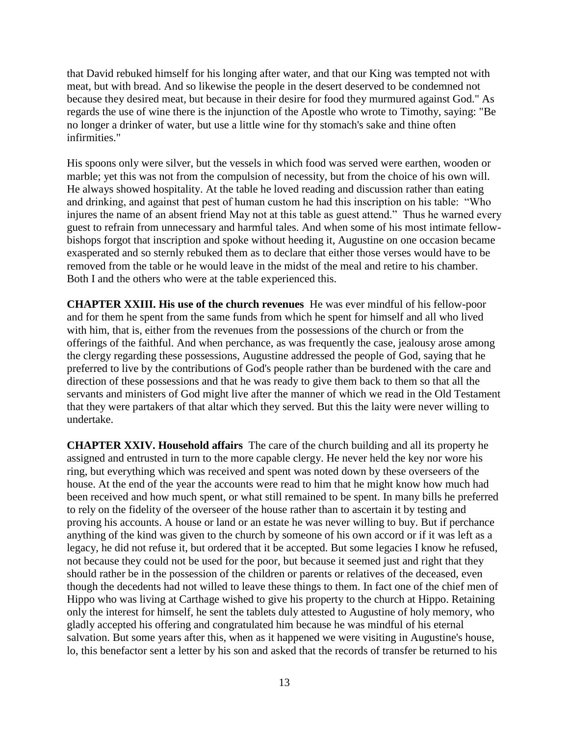that David rebuked himself for his longing after water, and that our King was tempted not with meat, but with bread. And so likewise the people in the desert deserved to be condemned not because they desired meat, but because in their desire for food they murmured against God." As regards the use of wine there is the injunction of the Apostle who wrote to Timothy, saying: "Be no longer a drinker of water, but use a little wine for thy stomach's sake and thine often infirmities."

His spoons only were silver, but the vessels in which food was served were earthen, wooden or marble; yet this was not from the compulsion of necessity, but from the choice of his own will. He always showed hospitality. At the table he loved reading and discussion rather than eating and drinking, and against that pest of human custom he had this inscription on his table: "Who injures the name of an absent friend May not at this table as guest attend." Thus he warned every guest to refrain from unnecessary and harmful tales. And when some of his most intimate fellowbishops forgot that inscription and spoke without heeding it, Augustine on one occasion became exasperated and so sternly rebuked them as to declare that either those verses would have to be removed from the table or he would leave in the midst of the meal and retire to his chamber. Both I and the others who were at the table experienced this.

**CHAPTER XXIII. His use of the church revenues** He was ever mindful of his fellow-poor and for them he spent from the same funds from which he spent for himself and all who lived with him, that is, either from the revenues from the possessions of the church or from the offerings of the faithful. And when perchance, as was frequently the case, jealousy arose among the clergy regarding these possessions, Augustine addressed the people of God, saying that he preferred to live by the contributions of God's people rather than be burdened with the care and direction of these possessions and that he was ready to give them back to them so that all the servants and ministers of God might live after the manner of which we read in the Old Testament that they were partakers of that altar which they served. But this the laity were never willing to undertake.

**CHAPTER XXIV. Household affairs** The care of the church building and all its property he assigned and entrusted in turn to the more capable clergy. He never held the key nor wore his ring, but everything which was received and spent was noted down by these overseers of the house. At the end of the year the accounts were read to him that he might know how much had been received and how much spent, or what still remained to be spent. In many bills he preferred to rely on the fidelity of the overseer of the house rather than to ascertain it by testing and proving his accounts. A house or land or an estate he was never willing to buy. But if perchance anything of the kind was given to the church by someone of his own accord or if it was left as a legacy, he did not refuse it, but ordered that it be accepted. But some legacies I know he refused, not because they could not be used for the poor, but because it seemed just and right that they should rather be in the possession of the children or parents or relatives of the deceased, even though the decedents had not willed to leave these things to them. In fact one of the chief men of Hippo who was living at Carthage wished to give his property to the church at Hippo. Retaining only the interest for himself, he sent the tablets duly attested to Augustine of holy memory, who gladly accepted his offering and congratulated him because he was mindful of his eternal salvation. But some years after this, when as it happened we were visiting in Augustine's house, lo, this benefactor sent a letter by his son and asked that the records of transfer be returned to his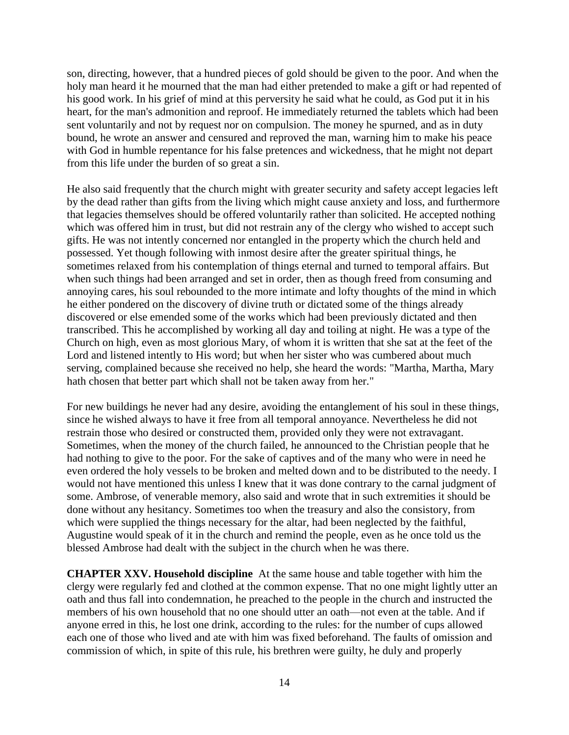son, directing, however, that a hundred pieces of gold should be given to the poor. And when the holy man heard it he mourned that the man had either pretended to make a gift or had repented of his good work. In his grief of mind at this perversity he said what he could, as God put it in his heart, for the man's admonition and reproof. He immediately returned the tablets which had been sent voluntarily and not by request nor on compulsion. The money he spurned, and as in duty bound, he wrote an answer and censured and reproved the man, warning him to make his peace with God in humble repentance for his false pretences and wickedness, that he might not depart from this life under the burden of so great a sin.

He also said frequently that the church might with greater security and safety accept legacies left by the dead rather than gifts from the living which might cause anxiety and loss, and furthermore that legacies themselves should be offered voluntarily rather than solicited. He accepted nothing which was offered him in trust, but did not restrain any of the clergy who wished to accept such gifts. He was not intently concerned nor entangled in the property which the church held and possessed. Yet though following with inmost desire after the greater spiritual things, he sometimes relaxed from his contemplation of things eternal and turned to temporal affairs. But when such things had been arranged and set in order, then as though freed from consuming and annoying cares, his soul rebounded to the more intimate and lofty thoughts of the mind in which he either pondered on the discovery of divine truth or dictated some of the things already discovered or else emended some of the works which had been previously dictated and then transcribed. This he accomplished by working all day and toiling at night. He was a type of the Church on high, even as most glorious Mary, of whom it is written that she sat at the feet of the Lord and listened intently to His word; but when her sister who was cumbered about much serving, complained because she received no help, she heard the words: "Martha, Martha, Mary hath chosen that better part which shall not be taken away from her."

For new buildings he never had any desire, avoiding the entanglement of his soul in these things, since he wished always to have it free from all temporal annoyance. Nevertheless he did not restrain those who desired or constructed them, provided only they were not extravagant. Sometimes, when the money of the church failed, he announced to the Christian people that he had nothing to give to the poor. For the sake of captives and of the many who were in need he even ordered the holy vessels to be broken and melted down and to be distributed to the needy. I would not have mentioned this unless I knew that it was done contrary to the carnal judgment of some. Ambrose, of venerable memory, also said and wrote that in such extremities it should be done without any hesitancy. Sometimes too when the treasury and also the consistory, from which were supplied the things necessary for the altar, had been neglected by the faithful, Augustine would speak of it in the church and remind the people, even as he once told us the blessed Ambrose had dealt with the subject in the church when he was there.

**CHAPTER XXV. Household discipline** At the same house and table together with him the clergy were regularly fed and clothed at the common expense. That no one might lightly utter an oath and thus fall into condemnation, he preached to the people in the church and instructed the members of his own household that no one should utter an oath—not even at the table. And if anyone erred in this, he lost one drink, according to the rules: for the number of cups allowed each one of those who lived and ate with him was fixed beforehand. The faults of omission and commission of which, in spite of this rule, his brethren were guilty, he duly and properly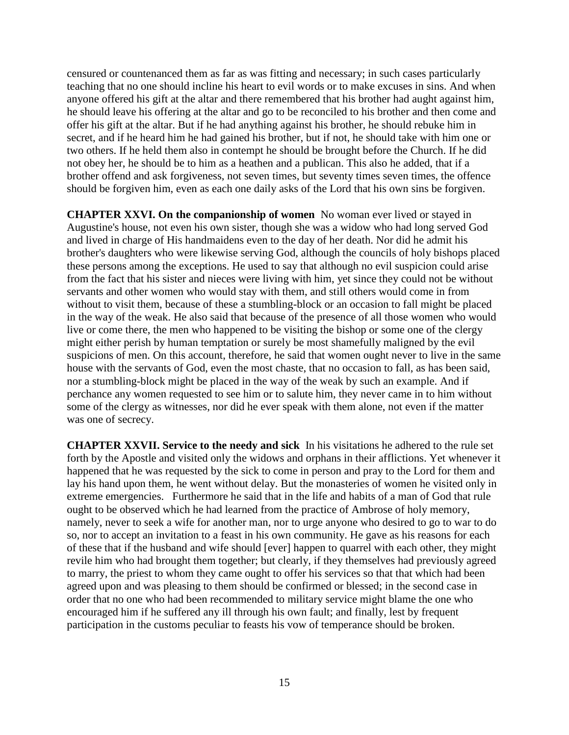censured or countenanced them as far as was fitting and necessary; in such cases particularly teaching that no one should incline his heart to evil words or to make excuses in sins. And when anyone offered his gift at the altar and there remembered that his brother had aught against him, he should leave his offering at the altar and go to be reconciled to his brother and then come and offer his gift at the altar. But if he had anything against his brother, he should rebuke him in secret, and if he heard him he had gained his brother, but if not, he should take with him one or two others. If he held them also in contempt he should be brought before the Church. If he did not obey her, he should be to him as a heathen and a publican. This also he added, that if a brother offend and ask forgiveness, not seven times, but seventy times seven times, the offence should be forgiven him, even as each one daily asks of the Lord that his own sins be forgiven.

**CHAPTER XXVI. On the companionship of women** No woman ever lived or stayed in Augustine's house, not even his own sister, though she was a widow who had long served God and lived in charge of His handmaidens even to the day of her death. Nor did he admit his brother's daughters who were likewise serving God, although the councils of holy bishops placed these persons among the exceptions. He used to say that although no evil suspicion could arise from the fact that his sister and nieces were living with him, yet since they could not be without servants and other women who would stay with them, and still others would come in from without to visit them, because of these a stumbling-block or an occasion to fall might be placed in the way of the weak. He also said that because of the presence of all those women who would live or come there, the men who happened to be visiting the bishop or some one of the clergy might either perish by human temptation or surely be most shamefully maligned by the evil suspicions of men. On this account, therefore, he said that women ought never to live in the same house with the servants of God, even the most chaste, that no occasion to fall, as has been said, nor a stumbling-block might be placed in the way of the weak by such an example. And if perchance any women requested to see him or to salute him, they never came in to him without some of the clergy as witnesses, nor did he ever speak with them alone, not even if the matter was one of secrecy.

**CHAPTER XXVII. Service to the needy and sick** In his visitations he adhered to the rule set forth by the Apostle and visited only the widows and orphans in their afflictions. Yet whenever it happened that he was requested by the sick to come in person and pray to the Lord for them and lay his hand upon them, he went without delay. But the monasteries of women he visited only in extreme emergencies. Furthermore he said that in the life and habits of a man of God that rule ought to be observed which he had learned from the practice of Ambrose of holy memory, namely, never to seek a wife for another man, nor to urge anyone who desired to go to war to do so, nor to accept an invitation to a feast in his own community. He gave as his reasons for each of these that if the husband and wife should [ever] happen to quarrel with each other, they might revile him who had brought them together; but clearly, if they themselves had previously agreed to marry, the priest to whom they came ought to offer his services so that that which had been agreed upon and was pleasing to them should be confirmed or blessed; in the second case in order that no one who had been recommended to military service might blame the one who encouraged him if he suffered any ill through his own fault; and finally, lest by frequent participation in the customs peculiar to feasts his vow of temperance should be broken.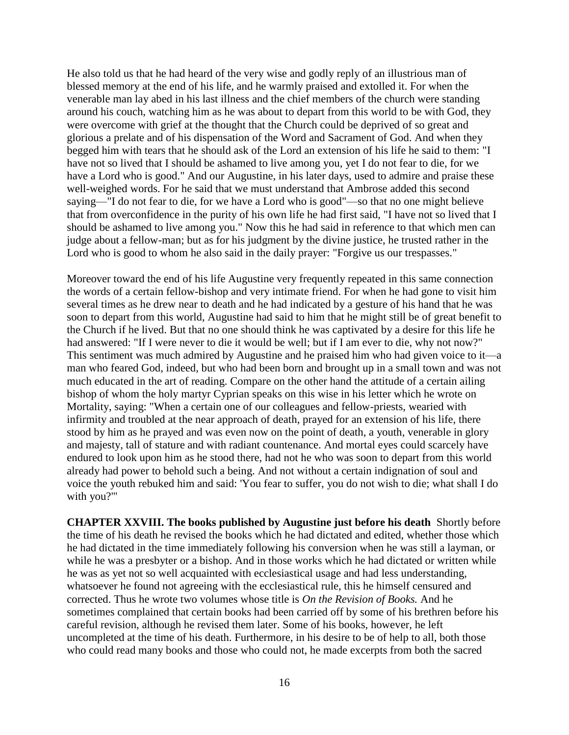He also told us that he had heard of the very wise and godly reply of an illustrious man of blessed memory at the end of his life, and he warmly praised and extolled it. For when the venerable man lay abed in his last illness and the chief members of the church were standing around his couch, watching him as he was about to depart from this world to be with God, they were overcome with grief at the thought that the Church could be deprived of so great and glorious a prelate and of his dispensation of the Word and Sacrament of God. And when they begged him with tears that he should ask of the Lord an extension of his life he said to them: "I have not so lived that I should be ashamed to live among you, yet I do not fear to die, for we have a Lord who is good." And our Augustine, in his later days, used to admire and praise these well-weighed words. For he said that we must understand that Ambrose added this second saying—"I do not fear to die, for we have a Lord who is good"—so that no one might believe that from overconfidence in the purity of his own life he had first said, "I have not so lived that I should be ashamed to live among you." Now this he had said in reference to that which men can judge about a fellow-man; but as for his judgment by the divine justice, he trusted rather in the Lord who is good to whom he also said in the daily prayer: "Forgive us our trespasses."

Moreover toward the end of his life Augustine very frequently repeated in this same connection the words of a certain fellow-bishop and very intimate friend. For when he had gone to visit him several times as he drew near to death and he had indicated by a gesture of his hand that he was soon to depart from this world, Augustine had said to him that he might still be of great benefit to the Church if he lived. But that no one should think he was captivated by a desire for this life he had answered: "If I were never to die it would be well; but if I am ever to die, why not now?" This sentiment was much admired by Augustine and he praised him who had given voice to it—a man who feared God, indeed, but who had been born and brought up in a small town and was not much educated in the art of reading. Compare on the other hand the attitude of a certain ailing bishop of whom the holy martyr Cyprian speaks on this wise in his letter which he wrote on Mortality, saying: "When a certain one of our colleagues and fellow-priests, wearied with infirmity and troubled at the near approach of death, prayed for an extension of his life, there stood by him as he prayed and was even now on the point of death, a youth, venerable in glory and majesty, tall of stature and with radiant countenance. And mortal eyes could scarcely have endured to look upon him as he stood there, had not he who was soon to depart from this world already had power to behold such a being. And not without a certain indignation of soul and voice the youth rebuked him and said: 'You fear to suffer, you do not wish to die; what shall I do with you?'"

**CHAPTER XXVIII. The books published by Augustine just before his death** Shortly before the time of his death he revised the books which he had dictated and edited, whether those which he had dictated in the time immediately following his conversion when he was still a layman, or while he was a presbyter or a bishop. And in those works which he had dictated or written while he was as yet not so well acquainted with ecclesiastical usage and had less understanding, whatsoever he found not agreeing with the ecclesiastical rule, this he himself censured and corrected. Thus he wrote two volumes whose title is *On the Revision of Books.* And he sometimes complained that certain books had been carried off by some of his brethren before his careful revision, although he revised them later. Some of his books, however, he left uncompleted at the time of his death. Furthermore, in his desire to be of help to all, both those who could read many books and those who could not, he made excerpts from both the sacred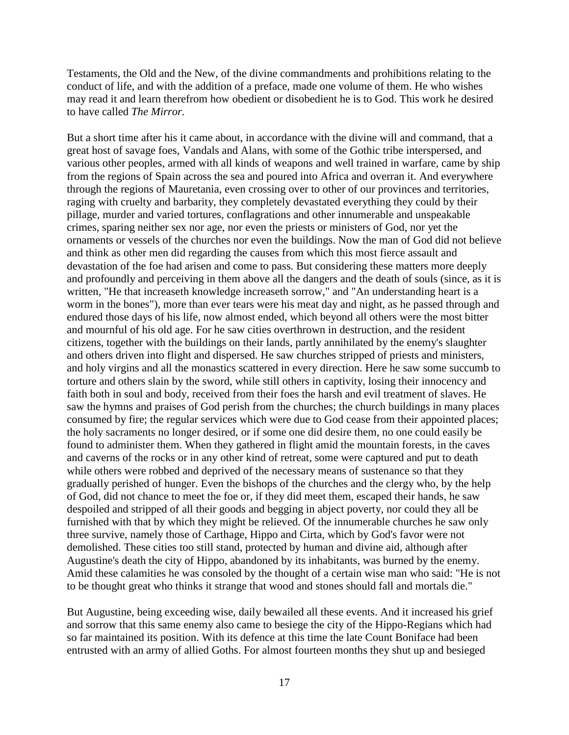Testaments, the Old and the New, of the divine commandments and prohibitions relating to the conduct of life, and with the addition of a preface, made one volume of them. He who wishes may read it and learn therefrom how obedient or disobedient he is to God. This work he desired to have called *The Mirror.*

But a short time after his it came about, in accordance with the divine will and command, that a great host of savage foes, Vandals and Alans, with some of the Gothic tribe interspersed, and various other peoples, armed with all kinds of weapons and well trained in warfare, came by ship from the regions of Spain across the sea and poured into Africa and overran it. And everywhere through the regions of Mauretania, even crossing over to other of our provinces and territories, raging with cruelty and barbarity, they completely devastated everything they could by their pillage, murder and varied tortures, conflagrations and other innumerable and unspeakable crimes, sparing neither sex nor age, nor even the priests or ministers of God, nor yet the ornaments or vessels of the churches nor even the buildings. Now the man of God did not believe and think as other men did regarding the causes from which this most fierce assault and devastation of the foe had arisen and come to pass. But considering these matters more deeply and profoundly and perceiving in them above all the dangers and the death of souls (since, as it is written, "He that increaseth knowledge increaseth sorrow," and "An understanding heart is a worm in the bones"), more than ever tears were his meat day and night, as he passed through and endured those days of his life, now almost ended, which beyond all others were the most bitter and mournful of his old age. For he saw cities overthrown in destruction, and the resident citizens, together with the buildings on their lands, partly annihilated by the enemy's slaughter and others driven into flight and dispersed. He saw churches stripped of priests and ministers, and holy virgins and all the monastics scattered in every direction. Here he saw some succumb to torture and others slain by the sword, while still others in captivity, losing their innocency and faith both in soul and body, received from their foes the harsh and evil treatment of slaves. He saw the hymns and praises of God perish from the churches; the church buildings in many places consumed by fire; the regular services which were due to God cease from their appointed places; the holy sacraments no longer desired, or if some one did desire them, no one could easily be found to administer them. When they gathered in flight amid the mountain forests, in the caves and caverns of the rocks or in any other kind of retreat, some were captured and put to death while others were robbed and deprived of the necessary means of sustenance so that they gradually perished of hunger. Even the bishops of the churches and the clergy who, by the help of God, did not chance to meet the foe or, if they did meet them, escaped their hands, he saw despoiled and stripped of all their goods and begging in abject poverty, nor could they all be furnished with that by which they might be relieved. Of the innumerable churches he saw only three survive, namely those of Carthage, Hippo and Cirta, which by God's favor were not demolished. These cities too still stand, protected by human and divine aid, although after Augustine's death the city of Hippo, abandoned by its inhabitants, was burned by the enemy. Amid these calamities he was consoled by the thought of a certain wise man who said: "He is not to be thought great who thinks it strange that wood and stones should fall and mortals die."

But Augustine, being exceeding wise, daily bewailed all these events. And it increased his grief and sorrow that this same enemy also came to besiege the city of the Hippo-Regians which had so far maintained its position. With its defence at this time the late Count Boniface had been entrusted with an army of allied Goths. For almost fourteen months they shut up and besieged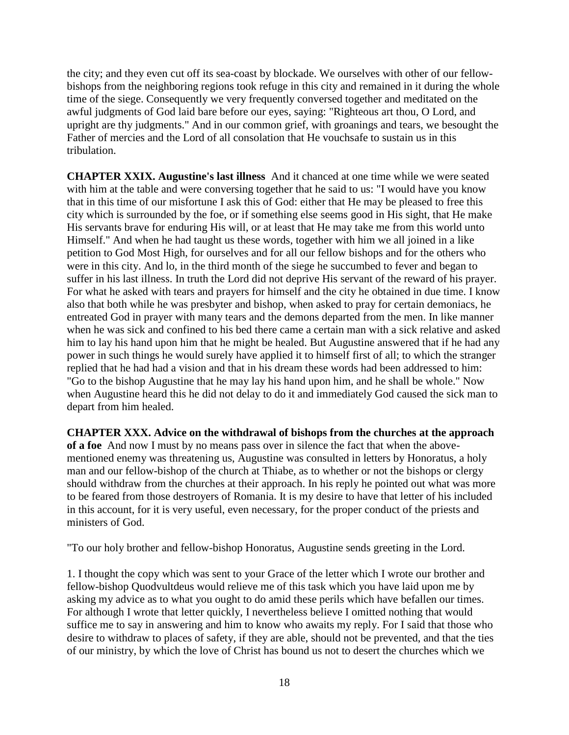the city; and they even cut off its sea-coast by blockade. We ourselves with other of our fellowbishops from the neighboring regions took refuge in this city and remained in it during the whole time of the siege. Consequently we very frequently conversed together and meditated on the awful judgments of God laid bare before our eyes, saying: "Righteous art thou, O Lord, and upright are thy judgments." And in our common grief, with groanings and tears, we besought the Father of mercies and the Lord of all consolation that He vouchsafe to sustain us in this tribulation.

**CHAPTER XXIX. Augustine's last illness** And it chanced at one time while we were seated with him at the table and were conversing together that he said to us: "I would have you know that in this time of our misfortune I ask this of God: either that He may be pleased to free this city which is surrounded by the foe, or if something else seems good in His sight, that He make His servants brave for enduring His will, or at least that He may take me from this world unto Himself." And when he had taught us these words, together with him we all joined in a like petition to God Most High, for ourselves and for all our fellow bishops and for the others who were in this city. And lo, in the third month of the siege he succumbed to fever and began to suffer in his last illness. In truth the Lord did not deprive His servant of the reward of his prayer. For what he asked with tears and prayers for himself and the city he obtained in due time. I know also that both while he was presbyter and bishop, when asked to pray for certain demoniacs, he entreated God in prayer with many tears and the demons departed from the men. In like manner when he was sick and confined to his bed there came a certain man with a sick relative and asked him to lay his hand upon him that he might be healed. But Augustine answered that if he had any power in such things he would surely have applied it to himself first of all; to which the stranger replied that he had had a vision and that in his dream these words had been addressed to him: "Go to the bishop Augustine that he may lay his hand upon him, and he shall be whole." Now when Augustine heard this he did not delay to do it and immediately God caused the sick man to depart from him healed.

**CHAPTER XXX. Advice on the withdrawal of bishops from the churches at the approach of a foe** And now I must by no means pass over in silence the fact that when the abovementioned enemy was threatening us, Augustine was consulted in letters by Honoratus, a holy man and our fellow-bishop of the church at Thiabe, as to whether or not the bishops or clergy should withdraw from the churches at their approach. In his reply he pointed out what was more to be feared from those destroyers of Romania. It is my desire to have that letter of his included in this account, for it is very useful, even necessary, for the proper conduct of the priests and ministers of God.

"To our holy brother and fellow-bishop Honoratus, Augustine sends greeting in the Lord.

1. I thought the copy which was sent to your Grace of the letter which I wrote our brother and fellow-bishop Quodvultdeus would relieve me of this task which you have laid upon me by asking my advice as to what you ought to do amid these perils which have befallen our times. For although I wrote that letter quickly, I nevertheless believe I omitted nothing that would suffice me to say in answering and him to know who awaits my reply. For I said that those who desire to withdraw to places of safety, if they are able, should not be prevented, and that the ties of our ministry, by which the love of Christ has bound us not to desert the churches which we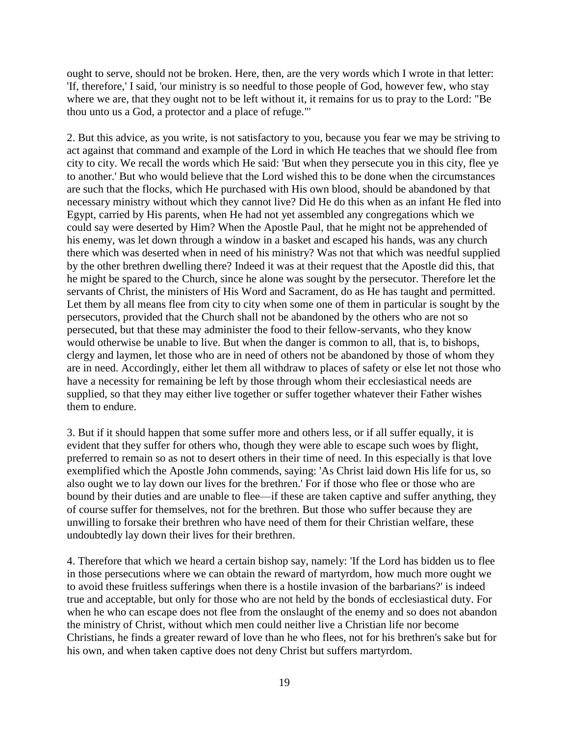ought to serve, should not be broken. Here, then, are the very words which I wrote in that letter: 'If, therefore,' I said, 'our ministry is so needful to those people of God, however few, who stay where we are, that they ought not to be left without it, it remains for us to pray to the Lord: "Be thou unto us a God, a protector and a place of refuge."'

2. But this advice, as you write, is not satisfactory to you, because you fear we may be striving to act against that command and example of the Lord in which He teaches that we should flee from city to city. We recall the words which He said: 'But when they persecute you in this city, flee ye to another.' But who would believe that the Lord wished this to be done when the circumstances are such that the flocks, which He purchased with His own blood, should be abandoned by that necessary ministry without which they cannot live? Did He do this when as an infant He fled into Egypt, carried by His parents, when He had not yet assembled any congregations which we could say were deserted by Him? When the Apostle Paul, that he might not be apprehended of his enemy, was let down through a window in a basket and escaped his hands, was any church there which was deserted when in need of his ministry? Was not that which was needful supplied by the other brethren dwelling there? Indeed it was at their request that the Apostle did this, that he might be spared to the Church, since he alone was sought by the persecutor. Therefore let the servants of Christ, the ministers of His Word and Sacrament, do as He has taught and permitted. Let them by all means flee from city to city when some one of them in particular is sought by the persecutors, provided that the Church shall not be abandoned by the others who are not so persecuted, but that these may administer the food to their fellow-servants, who they know would otherwise be unable to live. But when the danger is common to all, that is, to bishops, clergy and laymen, let those who are in need of others not be abandoned by those of whom they are in need. Accordingly, either let them all withdraw to places of safety or else let not those who have a necessity for remaining be left by those through whom their ecclesiastical needs are supplied, so that they may either live together or suffer together whatever their Father wishes them to endure.

3. But if it should happen that some suffer more and others less, or if all suffer equally, it is evident that they suffer for others who, though they were able to escape such woes by flight, preferred to remain so as not to desert others in their time of need. In this especially is that love exemplified which the Apostle John commends, saying: 'As Christ laid down His life for us, so also ought we to lay down our lives for the brethren.' For if those who flee or those who are bound by their duties and are unable to flee—if these are taken captive and suffer anything, they of course suffer for themselves, not for the brethren. But those who suffer because they are unwilling to forsake their brethren who have need of them for their Christian welfare, these undoubtedly lay down their lives for their brethren.

4. Therefore that which we heard a certain bishop say, namely: 'If the Lord has bidden us to flee in those persecutions where we can obtain the reward of martyrdom, how much more ought we to avoid these fruitless sufferings when there is a hostile invasion of the barbarians?' is indeed true and acceptable, but only for those who are not held by the bonds of ecclesiastical duty. For when he who can escape does not flee from the onslaught of the enemy and so does not abandon the ministry of Christ, without which men could neither live a Christian life nor become Christians, he finds a greater reward of love than he who flees, not for his brethren's sake but for his own, and when taken captive does not deny Christ but suffers martyrdom.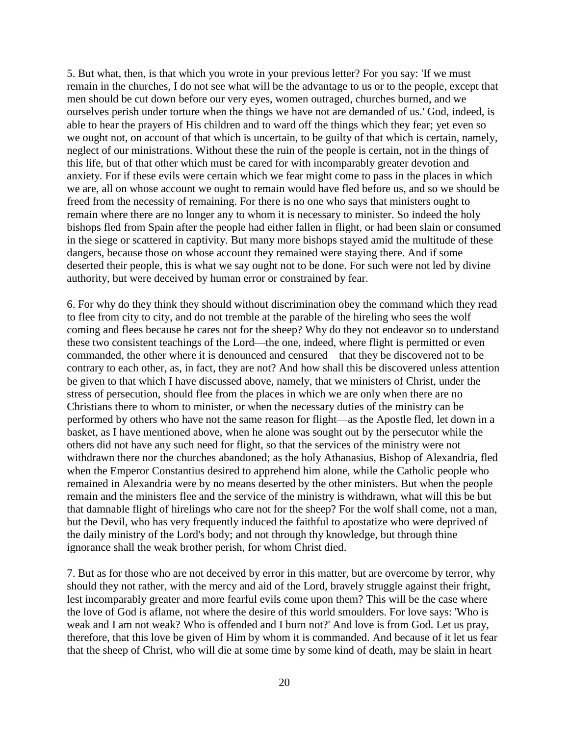5. But what, then, is that which you wrote in your previous letter? For you say: 'If we must remain in the churches, I do not see what will be the advantage to us or to the people, except that men should be cut down before our very eyes, women outraged, churches burned, and we ourselves perish under torture when the things we have not are demanded of us.' God, indeed, is able to hear the prayers of His children and to ward off the things which they fear; yet even so we ought not, on account of that which is uncertain, to be guilty of that which is certain, namely, neglect of our ministrations. Without these the ruin of the people is certain, not in the things of this life, but of that other which must be cared for with incomparably greater devotion and anxiety. For if these evils were certain which we fear might come to pass in the places in which we are, all on whose account we ought to remain would have fled before us, and so we should be freed from the necessity of remaining. For there is no one who says that ministers ought to remain where there are no longer any to whom it is necessary to minister. So indeed the holy bishops fled from Spain after the people had either fallen in flight, or had been slain or consumed in the siege or scattered in captivity. But many more bishops stayed amid the multitude of these dangers, because those on whose account they remained were staying there. And if some deserted their people, this is what we say ought not to be done. For such were not led by divine authority, but were deceived by human error or constrained by fear.

6. For why do they think they should without discrimination obey the command which they read to flee from city to city, and do not tremble at the parable of the hireling who sees the wolf coming and flees because he cares not for the sheep? Why do they not endeavor so to understand these two consistent teachings of the Lord—the one, indeed, where flight is permitted or even commanded, the other where it is denounced and censured—that they be discovered not to be contrary to each other, as, in fact, they are not? And how shall this be discovered unless attention be given to that which I have discussed above, namely, that we ministers of Christ, under the stress of persecution, should flee from the places in which we are only when there are no Christians there to whom to minister, or when the necessary duties of the ministry can be performed by others who have not the same reason for flight—as the Apostle fled, let down in a basket, as I have mentioned above, when he alone was sought out by the persecutor while the others did not have any such need for flight, so that the services of the ministry were not withdrawn there nor the churches abandoned; as the holy Athanasius, Bishop of Alexandria, fled when the Emperor Constantius desired to apprehend him alone, while the Catholic people who remained in Alexandria were by no means deserted by the other ministers. But when the people remain and the ministers flee and the service of the ministry is withdrawn, what will this be but that damnable flight of hirelings who care not for the sheep? For the wolf shall come, not a man, but the Devil, who has very frequently induced the faithful to apostatize who were deprived of the daily ministry of the Lord's body; and not through thy knowledge, but through thine ignorance shall the weak brother perish, for whom Christ died.

7. But as for those who are not deceived by error in this matter, but are overcome by terror, why should they not rather, with the mercy and aid of the Lord, bravely struggle against their fright, lest incomparably greater and more fearful evils come upon them? This will be the case where the love of God is aflame, not where the desire of this world smoulders. For love says: 'Who is weak and I am not weak? Who is offended and I burn not?' And love is from God. Let us pray, therefore, that this love be given of Him by whom it is commanded. And because of it let us fear that the sheep of Christ, who will die at some time by some kind of death, may be slain in heart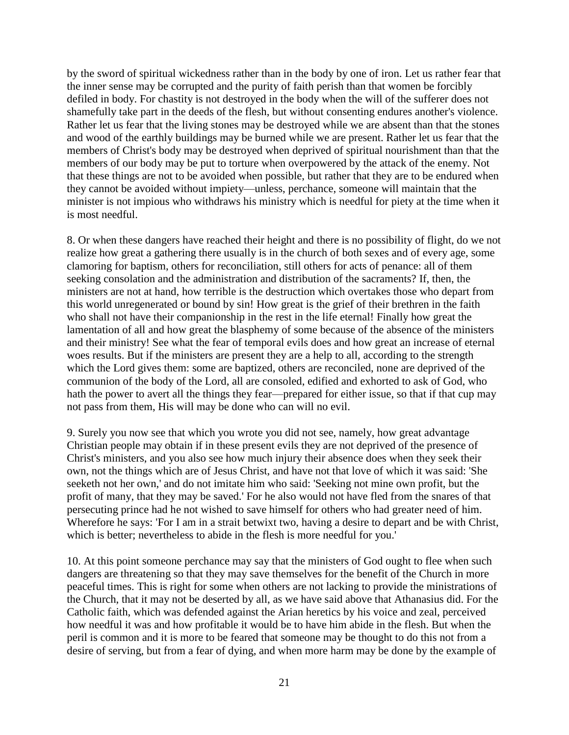by the sword of spiritual wickedness rather than in the body by one of iron. Let us rather fear that the inner sense may be corrupted and the purity of faith perish than that women be forcibly defiled in body. For chastity is not destroyed in the body when the will of the sufferer does not shamefully take part in the deeds of the flesh, but without consenting endures another's violence. Rather let us fear that the living stones may be destroyed while we are absent than that the stones and wood of the earthly buildings may be burned while we are present. Rather let us fear that the members of Christ's body may be destroyed when deprived of spiritual nourishment than that the members of our body may be put to torture when overpowered by the attack of the enemy. Not that these things are not to be avoided when possible, but rather that they are to be endured when they cannot be avoided without impiety—unless, perchance, someone will maintain that the minister is not impious who withdraws his ministry which is needful for piety at the time when it is most needful.

8. Or when these dangers have reached their height and there is no possibility of flight, do we not realize how great a gathering there usually is in the church of both sexes and of every age, some clamoring for baptism, others for reconciliation, still others for acts of penance: all of them seeking consolation and the administration and distribution of the sacraments? If, then, the ministers are not at hand, how terrible is the destruction which overtakes those who depart from this world unregenerated or bound by sin! How great is the grief of their brethren in the faith who shall not have their companionship in the rest in the life eternal! Finally how great the lamentation of all and how great the blasphemy of some because of the absence of the ministers and their ministry! See what the fear of temporal evils does and how great an increase of eternal woes results. But if the ministers are present they are a help to all, according to the strength which the Lord gives them: some are baptized, others are reconciled, none are deprived of the communion of the body of the Lord, all are consoled, edified and exhorted to ask of God, who hath the power to avert all the things they fear—prepared for either issue, so that if that cup may not pass from them, His will may be done who can will no evil.

9. Surely you now see that which you wrote you did not see, namely, how great advantage Christian people may obtain if in these present evils they are not deprived of the presence of Christ's ministers, and you also see how much injury their absence does when they seek their own, not the things which are of Jesus Christ, and have not that love of which it was said: 'She seeketh not her own,' and do not imitate him who said: 'Seeking not mine own profit, but the profit of many, that they may be saved.' For he also would not have fled from the snares of that persecuting prince had he not wished to save himself for others who had greater need of him. Wherefore he says: 'For I am in a strait betwixt two, having a desire to depart and be with Christ, which is better; nevertheless to abide in the flesh is more needful for you.'

10. At this point someone perchance may say that the ministers of God ought to flee when such dangers are threatening so that they may save themselves for the benefit of the Church in more peaceful times. This is right for some when others are not lacking to provide the ministrations of the Church, that it may not be deserted by all, as we have said above that Athanasius did. For the Catholic faith, which was defended against the Arian heretics by his voice and zeal, perceived how needful it was and how profitable it would be to have him abide in the flesh. But when the peril is common and it is more to be feared that someone may be thought to do this not from a desire of serving, but from a fear of dying, and when more harm may be done by the example of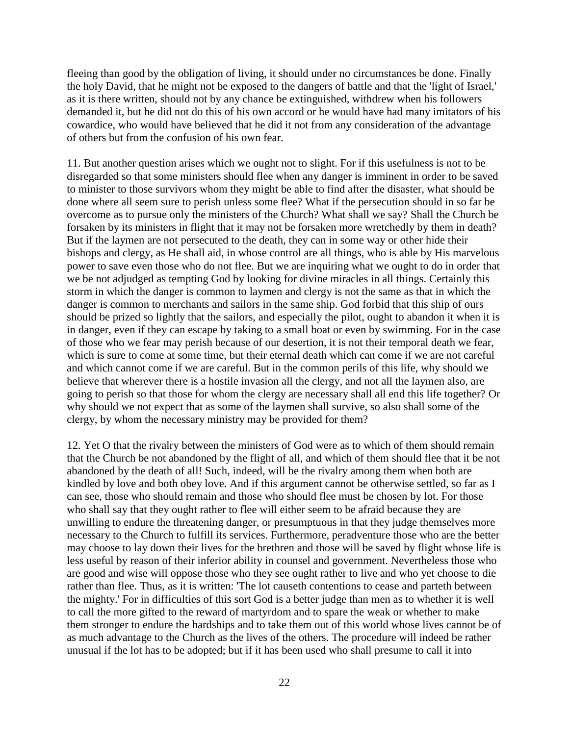fleeing than good by the obligation of living, it should under no circumstances be done. Finally the holy David, that he might not be exposed to the dangers of battle and that the 'light of Israel,' as it is there written, should not by any chance be extinguished, withdrew when his followers demanded it, but he did not do this of his own accord or he would have had many imitators of his cowardice, who would have believed that he did it not from any consideration of the advantage of others but from the confusion of his own fear.

11. But another question arises which we ought not to slight. For if this usefulness is not to be disregarded so that some ministers should flee when any danger is imminent in order to be saved to minister to those survivors whom they might be able to find after the disaster, what should be done where all seem sure to perish unless some flee? What if the persecution should in so far be overcome as to pursue only the ministers of the Church? What shall we say? Shall the Church be forsaken by its ministers in flight that it may not be forsaken more wretchedly by them in death? But if the laymen are not persecuted to the death, they can in some way or other hide their bishops and clergy, as He shall aid, in whose control are all things, who is able by His marvelous power to save even those who do not flee. But we are inquiring what we ought to do in order that we be not adjudged as tempting God by looking for divine miracles in all things. Certainly this storm in which the danger is common to laymen and clergy is not the same as that in which the danger is common to merchants and sailors in the same ship. God forbid that this ship of ours should be prized so lightly that the sailors, and especially the pilot, ought to abandon it when it is in danger, even if they can escape by taking to a small boat or even by swimming. For in the case of those who we fear may perish because of our desertion, it is not their temporal death we fear, which is sure to come at some time, but their eternal death which can come if we are not careful and which cannot come if we are careful. But in the common perils of this life, why should we believe that wherever there is a hostile invasion all the clergy, and not all the laymen also, are going to perish so that those for whom the clergy are necessary shall all end this life together? Or why should we not expect that as some of the laymen shall survive, so also shall some of the clergy, by whom the necessary ministry may be provided for them?

12. Yet O that the rivalry between the ministers of God were as to which of them should remain that the Church be not abandoned by the flight of all, and which of them should flee that it be not abandoned by the death of all! Such, indeed, will be the rivalry among them when both are kindled by love and both obey love. And if this argument cannot be otherwise settled, so far as I can see, those who should remain and those who should flee must be chosen by lot. For those who shall say that they ought rather to flee will either seem to be afraid because they are unwilling to endure the threatening danger, or presumptuous in that they judge themselves more necessary to the Church to fulfill its services. Furthermore, peradventure those who are the better may choose to lay down their lives for the brethren and those will be saved by flight whose life is less useful by reason of their inferior ability in counsel and government. Nevertheless those who are good and wise will oppose those who they see ought rather to live and who yet choose to die rather than flee. Thus, as it is written: 'The lot causeth contentions to cease and parteth between the mighty.' For in difficulties of this sort God is a better judge than men as to whether it is well to call the more gifted to the reward of martyrdom and to spare the weak or whether to make them stronger to endure the hardships and to take them out of this world whose lives cannot be of as much advantage to the Church as the lives of the others. The procedure will indeed be rather unusual if the lot has to be adopted; but if it has been used who shall presume to call it into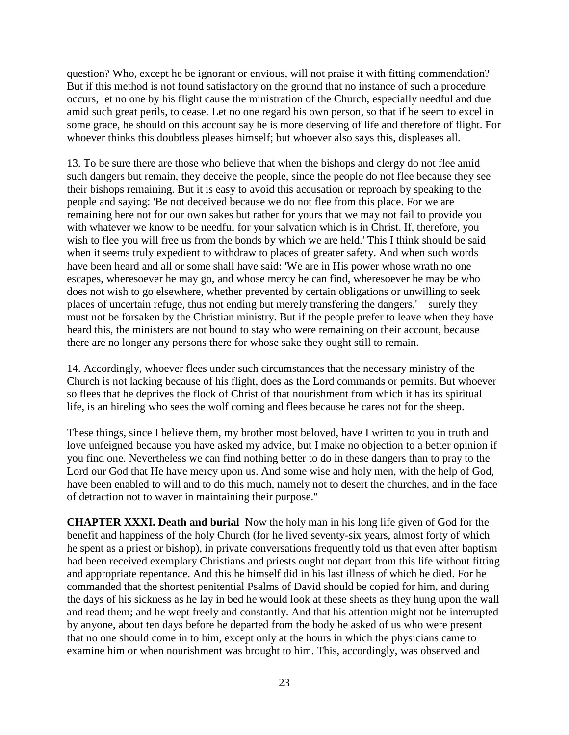question? Who, except he be ignorant or envious, will not praise it with fitting commendation? But if this method is not found satisfactory on the ground that no instance of such a procedure occurs, let no one by his flight cause the ministration of the Church, especially needful and due amid such great perils, to cease. Let no one regard his own person, so that if he seem to excel in some grace, he should on this account say he is more deserving of life and therefore of flight. For whoever thinks this doubtless pleases himself; but whoever also says this, displeases all.

13. To be sure there are those who believe that when the bishops and clergy do not flee amid such dangers but remain, they deceive the people, since the people do not flee because they see their bishops remaining. But it is easy to avoid this accusation or reproach by speaking to the people and saying: 'Be not deceived because we do not flee from this place. For we are remaining here not for our own sakes but rather for yours that we may not fail to provide you with whatever we know to be needful for your salvation which is in Christ. If, therefore, you wish to flee you will free us from the bonds by which we are held.' This I think should be said when it seems truly expedient to withdraw to places of greater safety. And when such words have been heard and all or some shall have said: 'We are in His power whose wrath no one escapes, wheresoever he may go, and whose mercy he can find, wheresoever he may be who does not wish to go elsewhere, whether prevented by certain obligations or unwilling to seek places of uncertain refuge, thus not ending but merely transfering the dangers,'—surely they must not be forsaken by the Christian ministry. But if the people prefer to leave when they have heard this, the ministers are not bound to stay who were remaining on their account, because there are no longer any persons there for whose sake they ought still to remain.

14. Accordingly, whoever flees under such circumstances that the necessary ministry of the Church is not lacking because of his flight, does as the Lord commands or permits. But whoever so flees that he deprives the flock of Christ of that nourishment from which it has its spiritual life, is an hireling who sees the wolf coming and flees because he cares not for the sheep.

These things, since I believe them, my brother most beloved, have I written to you in truth and love unfeigned because you have asked my advice, but I make no objection to a better opinion if you find one. Nevertheless we can find nothing better to do in these dangers than to pray to the Lord our God that He have mercy upon us. And some wise and holy men, with the help of God, have been enabled to will and to do this much, namely not to desert the churches, and in the face of detraction not to waver in maintaining their purpose."

**CHAPTER XXXI. Death and burial** Now the holy man in his long life given of God for the benefit and happiness of the holy Church (for he lived seventy-six years, almost forty of which he spent as a priest or bishop), in private conversations frequently told us that even after baptism had been received exemplary Christians and priests ought not depart from this life without fitting and appropriate repentance. And this he himself did in his last illness of which he died. For he commanded that the shortest penitential Psalms of David should be copied for him, and during the days of his sickness as he lay in bed he would look at these sheets as they hung upon the wall and read them; and he wept freely and constantly. And that his attention might not be interrupted by anyone, about ten days before he departed from the body he asked of us who were present that no one should come in to him, except only at the hours in which the physicians came to examine him or when nourishment was brought to him. This, accordingly, was observed and